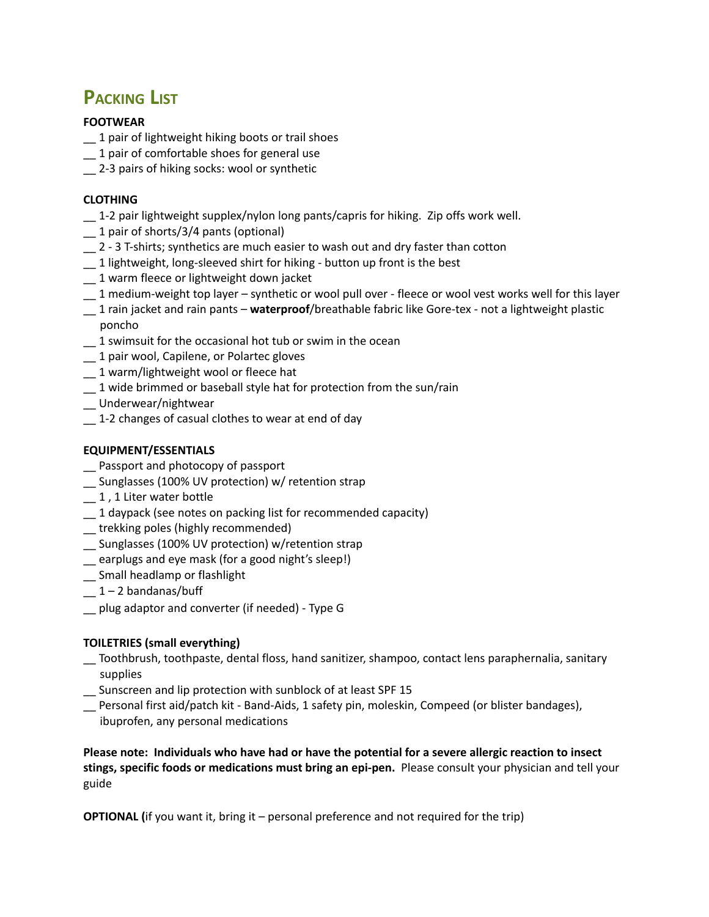# **PACKING LIST**

#### **FOOTWEAR**

- \_\_ 1 pair of lightweight hiking boots or trail shoes
- \_\_ 1 pair of comfortable shoes for general use
- \_\_ 2-3 pairs of hiking socks: wool or synthetic

#### **CLOTHING**

- \_\_ 1-2 pair lightweight supplex/nylon long pants/capris for hiking. Zip offs work well.
- \_\_ 1 pair of shorts/3/4 pants (optional)
- \_\_ 2 3 T-shirts; synthetics are much easier to wash out and dry faster than cotton
- \_\_ 1 lightweight, long-sleeved shirt for hiking button up front is the best
- $-1$  warm fleece or lightweight down jacket
- \_\_ 1 medium-weight top layer synthetic or wool pull over fleece or wool vest works well for this layer
- \_\_ 1 rain jacket and rain pants **waterproof**/breathable fabric like Gore-tex not a lightweight plastic poncho
- \_\_ 1 swimsuit for the occasional hot tub or swim in the ocean
- $-1$  pair wool, Capilene, or Polartec gloves
- \_\_ 1 warm/lightweight wool or fleece hat
- $-1$  wide brimmed or baseball style hat for protection from the sun/rain
- \_\_ Underwear/nightwear
- \_\_ 1-2 changes of casual clothes to wear at end of day

#### **EQUIPMENT/ESSENTIALS**

- Passport and photocopy of passport
- \_\_ Sunglasses (100% UV protection) w/ retention strap
- \_\_ 1 , 1 Liter water bottle
- \_\_ 1 daypack (see notes on packing list for recommended capacity)
- \_\_ trekking poles (highly recommended)
- \_\_ Sunglasses (100% UV protection) w/retention strap
- \_\_ earplugs and eye mask (for a good night's sleep!)
- \_\_ Small headlamp or flashlight
- $-1 2$  bandanas/buff
- \_\_ plug adaptor and converter (if needed) Type G

### **TOILETRIES (small everything)**

- \_\_ Toothbrush, toothpaste, dental floss, hand sanitizer, shampoo, contact lens paraphernalia, sanitary supplies
- \_\_ Sunscreen and lip protection with sunblock of at least SPF 15
- \_\_ Personal first aid/patch kit Band-Aids, 1 safety pin, moleskin, Compeed (or blister bandages), ibuprofen, any personal medications

**Please note: Individuals who have had or have the potential for a severe allergic reaction to insect stings, specific foods or medications must bring an epi-pen.** Please consult your physician and tell your guide

**OPTIONAL (**if you want it, bring it – personal preference and not required for the trip)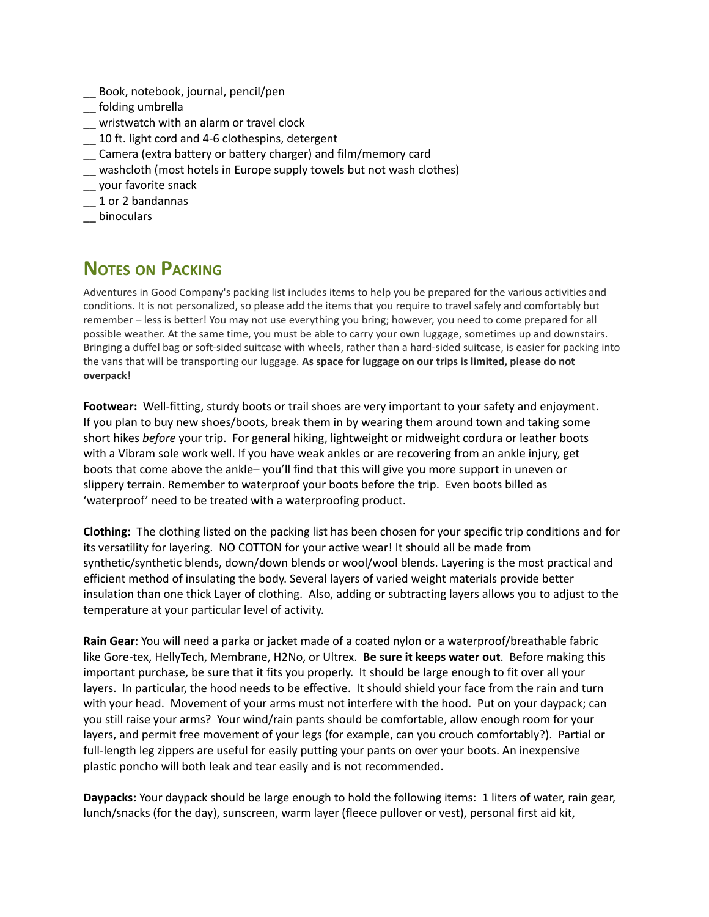- \_\_ Book, notebook, journal, pencil/pen
- \_\_ folding umbrella
- \_\_ wristwatch with an alarm or travel clock
- \_\_ 10 ft. light cord and 4-6 clothespins, detergent
- \_\_ Camera (extra battery or battery charger) and film/memory card
- \_\_ washcloth (most hotels in Europe supply towels but not wash clothes)
- \_\_ your favorite snack
- \_\_ 1 or 2 bandannas
- \_\_ binoculars

# **NOTES ON PACKING**

Adventures in Good Company's packing list includes items to help you be prepared for the various activities and conditions. It is not personalized, so please add the items that you require to travel safely and comfortably but remember – less is better! You may not use everything you bring; however, you need to come prepared for all possible weather. At the same time, you must be able to carry your own luggage, sometimes up and downstairs. Bringing a duffel bag or soft-sided suitcase with wheels, rather than a hard-sided suitcase, is easier for packing into the vans that will be transporting our luggage. **As space for luggage on our trips is limited, please do not overpack!**

**Footwear:** Well-fitting, sturdy boots or trail shoes are very important to your safety and enjoyment. If you plan to buy new shoes/boots, break them in by wearing them around town and taking some short hikes *before* your trip. For general hiking, lightweight or midweight cordura or leather boots with a Vibram sole work well. If you have weak ankles or are recovering from an ankle injury, get boots that come above the ankle– you'll find that this will give you more support in uneven or slippery terrain. Remember to waterproof your boots before the trip. Even boots billed as 'waterproof' need to be treated with a waterproofing product.

**Clothing:** The clothing listed on the packing list has been chosen for your specific trip conditions and for its versatility for layering. NO COTTON for your active wear! It should all be made from synthetic/synthetic blends, down/down blends or wool/wool blends. Layering is the most practical and efficient method of insulating the body. Several layers of varied weight materials provide better insulation than one thick Layer of clothing. Also, adding or subtracting layers allows you to adjust to the temperature at your particular level of activity.

**Rain Gear**: You will need a parka or jacket made of a coated nylon or a waterproof/breathable fabric like Gore-tex, HellyTech, Membrane, H2No, or Ultrex. **Be sure it keeps water out**. Before making this important purchase, be sure that it fits you properly. It should be large enough to fit over all your layers. In particular, the hood needs to be effective. It should shield your face from the rain and turn with your head. Movement of your arms must not interfere with the hood. Put on your daypack; can you still raise your arms? Your wind/rain pants should be comfortable, allow enough room for your layers, and permit free movement of your legs (for example, can you crouch comfortably?). Partial or full-length leg zippers are useful for easily putting your pants on over your boots. An inexpensive plastic poncho will both leak and tear easily and is not recommended.

**Daypacks:** Your daypack should be large enough to hold the following items: 1 liters of water, rain gear, lunch/snacks (for the day), sunscreen, warm layer (fleece pullover or vest), personal first aid kit,